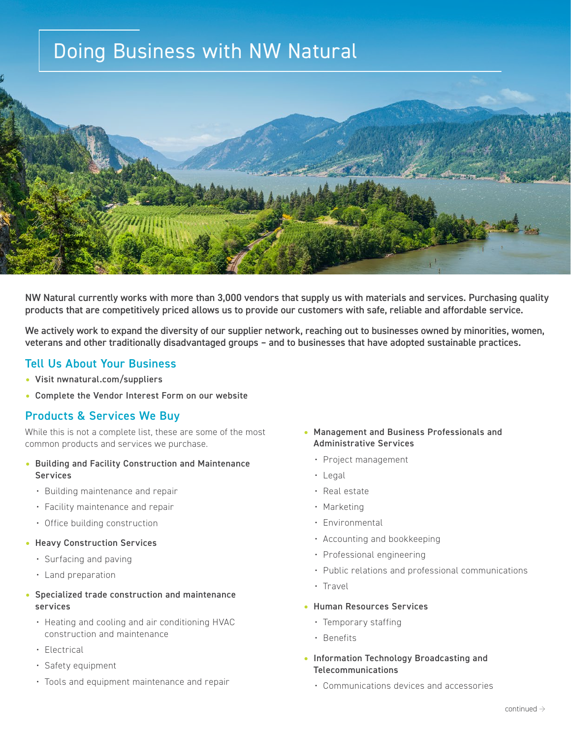# Doing Business with NW Natural



NW Natural currently works with more than 3,000 vendors that supply us with materials and services. Purchasing quality products that are competitively priced allows us to provide our customers with safe, reliable and affordable service.

We actively work to expand the diversity of our supplier network, reaching out to businesses owned by minorities, women, veterans and other traditionally disadvantaged groups – and to businesses that have adopted sustainable practices.

## Tell Us About Your Business

- Visit nwnatural.com/suppliers
- Complete the Vendor Interest Form on our website

## Products & Services We Buy

While this is not a complete list, these are some of the most common products and services we purchase.

- Building and Facility Construction and Maintenance **Services** 
	- Building maintenance and repair
	- Facility maintenance and repair
	- Office building construction
- Heavy Construction Services
	- Surfacing and paving
	- Land preparation

#### • Specialized trade construction and maintenance services

- Heating and cooling and air conditioning HVAC construction and maintenance
- Electrical
- Safety equipment
- Tools and equipment maintenance and repair

#### • Management and Business Professionals and Administrative Services

- Project management
- Legal
- Real estate
- Marketing
- Environmental
- Accounting and bookkeeping
- Professional engineering
- Public relations and professional communications
- Travel
- Human Resources Services
	- Temporary staffing
	- Benefits
- Information Technology Broadcasting and Telecommunications
	- Communications devices and accessories